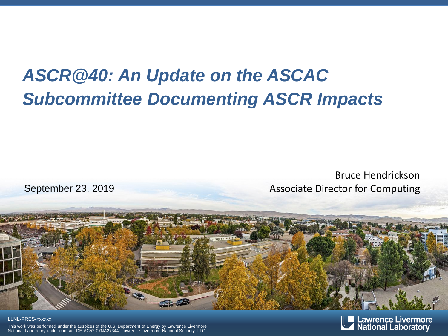#### *ASCR@40: An Update on the ASCAC Subcommittee Documenting ASCR Impacts*

Bruce Hendrickson September 23, 2019 Associate Director for Computing



#### LLNL-PRES-xxxxxx

This work was performed under the auspices of the U.S. Department of Energy by Lawrence Livermore National Laboratory under contract DE-AC52-07NA27344. Lawrence Livermore National Security, LLC

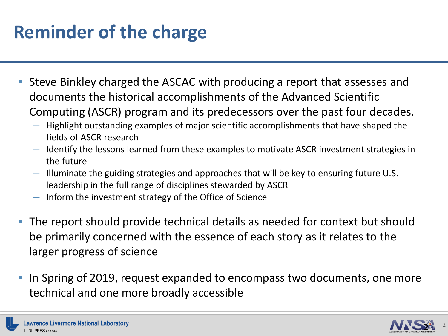# **Reminder of the charge**

- Steve Binkley charged the ASCAC with producing a report that assesses and documents the historical accomplishments of the Advanced Scientific Computing (ASCR) program and its predecessors over the past four decades.
	- Highlight outstanding examples of major scientific accomplishments that have shaped the fields of ASCR research
	- Identify the lessons learned from these examples to motivate ASCR investment strategies in the future
	- Illuminate the guiding strategies and approaches that will be key to ensuring future U.S. leadership in the full range of disciplines stewarded by ASCR
	- Inform the investment strategy of the Office of Science
- The report should provide technical details as needed for context but should be primarily concerned with the essence of each story as it relates to the larger progress of science
- In Spring of 2019, request expanded to encompass two documents, one more technical and one more broadly accessible

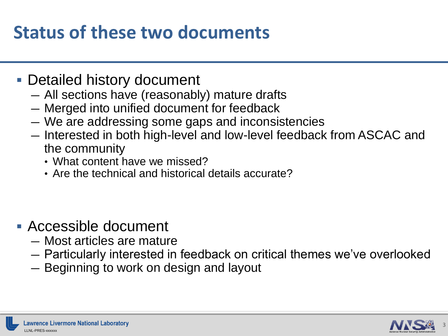#### **Status of these two documents**

- Detailed history document
	- All sections have (reasonably) mature drafts
	- Merged into unified document for feedback
	- We are addressing some gaps and inconsistencies
	- Interested in both high-level and low-level feedback from ASCAC and the community
		- What content have we missed?
		- Are the technical and historical details accurate?

- Accessible document
	- Most articles are mature
	- Particularly interested in feedback on critical themes we've overlooked
	- Beginning to work on design and layout

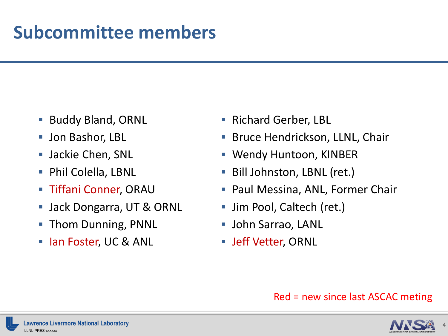#### **Subcommittee members**

- **Buddy Bland, ORNL**
- **Jon Bashor, LBL**
- **Jackie Chen, SNL**
- **Phil Colella, LBNL**
- **Tiffani Conner, ORAU**
- **Jack Dongarra, UT & ORNL**
- **Thom Dunning, PNNL**
- **Ioma Foster, UC & ANL**
- **Richard Gerber, LBL**
- Bruce Hendrickson, LLNL, Chair
- Wendy Huntoon, KINBER
- Bill Johnston, LBNL (ret.)
- **Paul Messina, ANL, Former Chair**
- Jim Pool, Caltech (ret.)
- **John Sarrao, LANL**
- **Jeff Vetter, ORNL**

#### Red = new since last ASCAC meting



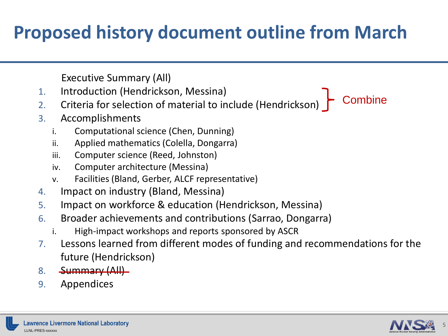# **Proposed history document outline from March**

Executive Summary (All)

- 1. Introduction (Hendrickson, Messina)
- 2. Criteria for selection of material to include (Hendrickson)
- 3. Accomplishments
	- i. Computational science (Chen, Dunning)
	- ii. Applied mathematics (Colella, Dongarra)
	- iii. Computer science (Reed, Johnston)
	- iv. Computer architecture (Messina)
	- v. Facilities (Bland, Gerber, ALCF representative)
- 4. Impact on industry (Bland, Messina)
- 5. Impact on workforce & education (Hendrickson, Messina)
- 6. Broader achievements and contributions (Sarrao, Dongarra)
	- i. High-impact workshops and reports sponsored by ASCR
- 7. Lessons learned from different modes of funding and recommendations for the future (Hendrickson)
- 8. Summary (All)
- 9. Appendices



**Combine**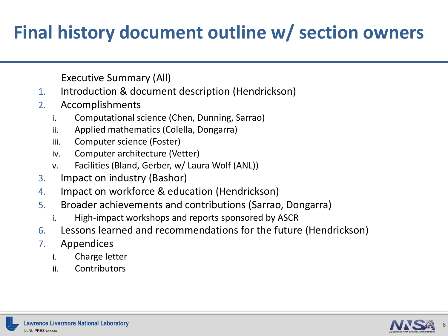## **Final history document outline w/ section owners**

Executive Summary (All)

- 1. Introduction & document description (Hendrickson)
- 2. Accomplishments
	- i. Computational science (Chen, Dunning, Sarrao)
	- ii. Applied mathematics (Colella, Dongarra)
	- iii. Computer science (Foster)
	- iv. Computer architecture (Vetter)
	- v. Facilities (Bland, Gerber, w/ Laura Wolf (ANL))
- 3. Impact on industry (Bashor)
- 4. Impact on workforce & education (Hendrickson)
- 5. Broader achievements and contributions (Sarrao, Dongarra)
	- i. High-impact workshops and reports sponsored by ASCR
- 6. Lessons learned and recommendations for the future (Hendrickson)
- 7. Appendices
	- i. Charge letter
	- ii. Contributors

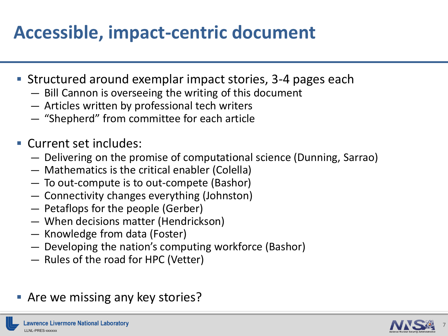## **Accessible, impact-centric document**

- Structured around exemplar impact stories, 3-4 pages each
	- Bill Cannon is overseeing the writing of this document
	- Articles written by professional tech writers
	- "Shepherd" from committee for each article
- Current set includes:
	- Delivering on the promise of computational science (Dunning, Sarrao)
	- Mathematics is the critical enabler (Colella)
	- To out-compute is to out-compete (Bashor)
	- Connectivity changes everything (Johnston)
	- Petaflops for the people (Gerber)
	- When decisions matter (Hendrickson)
	- Knowledge from data (Foster)
	- Developing the nation's computing workforce (Bashor)
	- Rules of the road for HPC (Vetter)
- **Are we missing any key stories?**

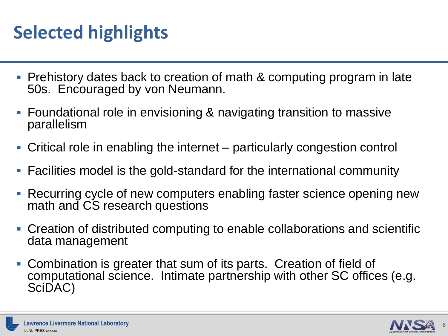# **Selected highlights**

- Prehistory dates back to creation of math & computing program in late 50s. Encouraged by von Neumann.
- Foundational role in envisioning & navigating transition to massive parallelism
- Critical role in enabling the internet particularly congestion control
- Facilities model is the gold-standard for the international community
- Recurring cycle of new computers enabling faster science opening new math and CS research questions
- Creation of distributed computing to enable collaborations and scientific data management
- Combination is greater that sum of its parts. Creation of field of computational science. Intimate partnership with other SC offices (e.g. SciDAC)

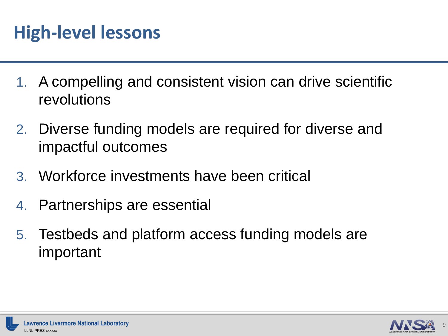### **High-level lessons**

- 1. A compelling and consistent vision can drive scientific revolutions
- 2. Diverse funding models are required for diverse and impactful outcomes
- 3. Workforce investments have been critical
- 4. Partnerships are essential
- 5. Testbeds and platform access funding models are important

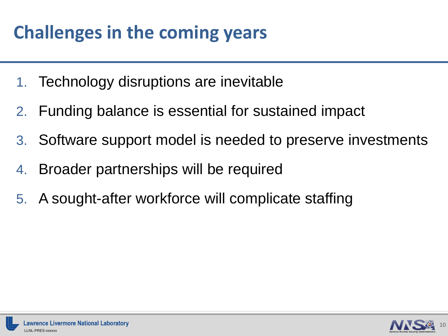# **Challenges in the coming years**

- 1. Technology disruptions are inevitable
- 2. Funding balance is essential for sustained impact
- 3. Software support model is needed to preserve investments
- 4. Broader partnerships will be required
- 5. A sought-after workforce will complicate staffing

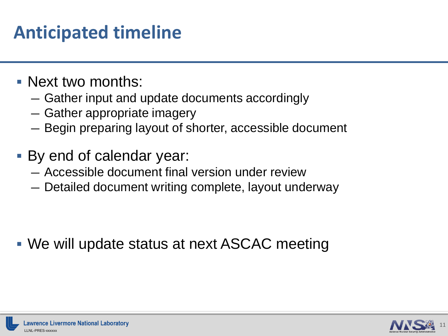### **Anticipated timeline**

- Next two months:
	- Gather input and update documents accordingly
	- Gather appropriate imagery
	- Begin preparing layout of shorter, accessible document
- By end of calendar year:
	- Accessible document final version under review
	- Detailed document writing complete, layout underway

We will update status at next ASCAC meeting

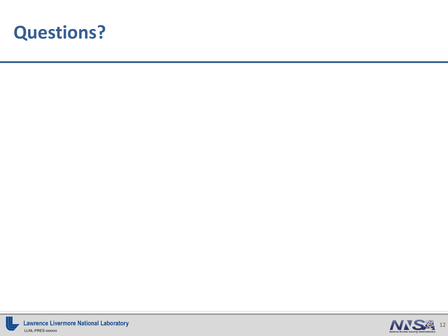



**Lawrence Livermore National Laboratory** LLNL-PRES-xxxxxx